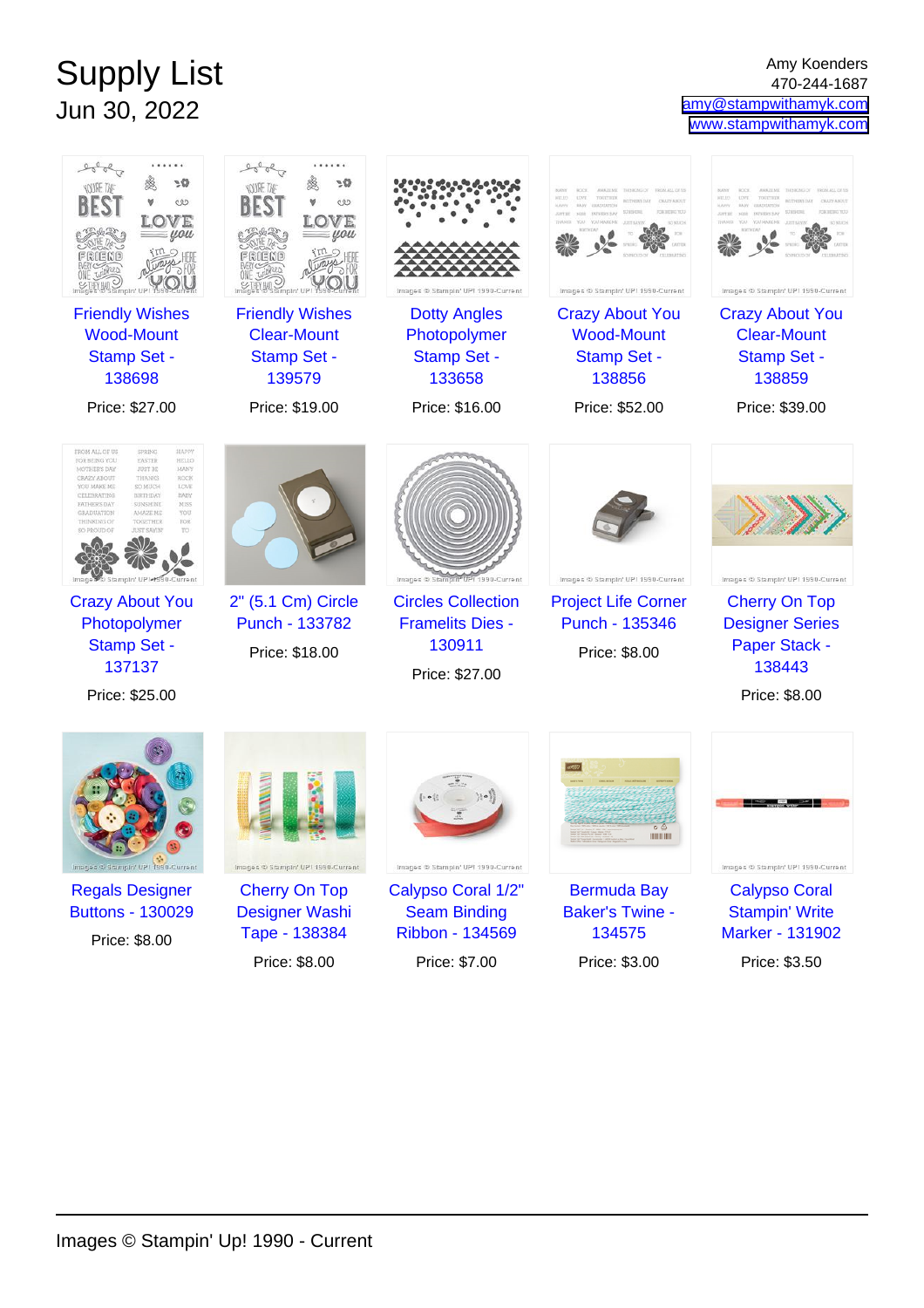## Supply List Jun 30, 2022

Amy Koenders 470-244-1687 [amy@stampwithamyk.com](mailto:amy@stampwithamyk.com) [www.stampwithamyk.com](http://www.stampwithamyk.com)